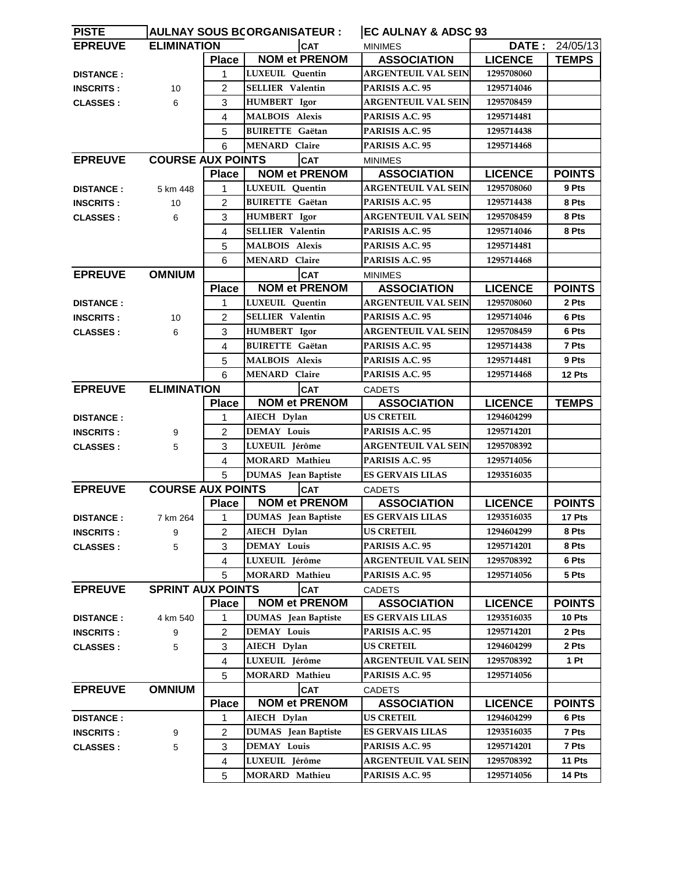| <b>PISTE</b>     | <b>AULNAY SOUS BCORGANISATEUR :</b> |                         |                                    | <b>EC AULNAY &amp; ADSC 93</b> |                            |                |                |
|------------------|-------------------------------------|-------------------------|------------------------------------|--------------------------------|----------------------------|----------------|----------------|
| <b>EPREUVE</b>   | <b>ELIMINATION</b>                  |                         | <b>CAT</b>                         |                                | <b>MINIMES</b>             |                | DATE: 24/05/13 |
|                  |                                     | <b>Place</b>            | <b>NOM et PRENOM</b>               |                                | <b>ASSOCIATION</b>         | <b>LICENCE</b> | <b>TEMPS</b>   |
| <b>DISTANCE:</b> |                                     | 1                       | <b>LUXEUIL</b> Quentin             |                                | <b>ARGENTEUIL VAL SEIN</b> | 1295708060     |                |
| <b>INSCRITS:</b> | 10                                  | $\overline{2}$          | <b>SELLIER Valentin</b>            |                                | PARISIS A.C. 95            | 1295714046     |                |
| <b>CLASSES:</b>  | 6                                   | 3                       | <b>HUMBERT</b> Igor                |                                | <b>ARGENTEUIL VAL SEIN</b> | 1295708459     |                |
|                  |                                     | 4                       | <b>MALBOIS Alexis</b>              |                                | PARISIS A.C. 95            | 1295714481     |                |
|                  |                                     | 5                       | <b>BUIRETTE Gaëtan</b>             |                                | PARISIS A.C. 95            | 1295714438     |                |
|                  |                                     | 6                       | <b>MENARD Claire</b>               |                                | PARISIS A.C. 95            | 1295714468     |                |
| <b>EPREUVE</b>   | <b>COURSE AUX POINTS</b>            |                         | <b>CAT</b>                         |                                | <b>MINIMES</b>             |                |                |
|                  |                                     | <b>Place</b>            | <b>NOM et PRENOM</b>               |                                | <b>ASSOCIATION</b>         | <b>LICENCE</b> | <b>POINTS</b>  |
| <b>DISTANCE:</b> | 5 km 448                            | $\mathbf{1}$            | LUXEUIL Quentin                    |                                | <b>ARGENTEUIL VAL SEIN</b> | 1295708060     | 9 Pts          |
| <b>INSCRITS:</b> | 10                                  | $\overline{2}$          | <b>BUIRETTE Gaëtan</b>             |                                | PARISIS A.C. 95            | 1295714438     | 8 Pts          |
| <b>CLASSES:</b>  | 6                                   | 3                       | <b>HUMBERT</b> Igor                |                                | <b>ARGENTEUIL VAL SEIN</b> | 1295708459     | 8 Pts          |
|                  |                                     | $\overline{\mathbf{4}}$ | <b>SELLIER</b> Valentin            |                                | PARISIS A.C. 95            | 1295714046     | 8 Pts          |
|                  |                                     | 5                       | <b>MALBOIS Alexis</b>              |                                | PARISIS A.C. 95            | 1295714481     |                |
|                  |                                     | 6                       | <b>MENARD Claire</b>               |                                | PARISIS A.C. 95            | 1295714468     |                |
| <b>EPREUVE</b>   | <b>OMNIUM</b>                       |                         |                                    | <b>CAT</b>                     | <b>MINIMES</b>             |                |                |
|                  |                                     | <b>Place</b>            | <b>NOM et PRENOM</b>               |                                | <b>ASSOCIATION</b>         | <b>LICENCE</b> | <b>POINTS</b>  |
| <b>DISTANCE:</b> |                                     | 1                       | LUXEUIL Quentin                    |                                | <b>ARGENTEUIL VAL SEIN</b> | 1295708060     | 2 Pts          |
| <b>INSCRITS:</b> | 10                                  | 2                       | <b>SELLIER Valentin</b>            |                                | PARISIS A.C. 95            | 1295714046     | 6 Pts          |
| <b>CLASSES:</b>  | 6                                   | 3                       | HUMBERT Igor                       |                                | <b>ARGENTEUIL VAL SEIN</b> | 1295708459     | 6 Pts          |
|                  |                                     | $\overline{\mathbf{4}}$ | <b>BUIRETTE Gaëtan</b>             |                                | PARISIS A.C. 95            | 1295714438     | 7 Pts          |
|                  |                                     | 5                       | <b>MALBOIS Alexis</b>              |                                | PARISIS A.C. 95            | 1295714481     | 9 Pts          |
|                  |                                     | 6                       | <b>MENARD Claire</b>               |                                | PARISIS A.C. 95            | 1295714468     | 12 Pts         |
| <b>EPREUVE</b>   | <b>ELIMINATION</b>                  |                         |                                    | <b>CAT</b>                     | <b>CADETS</b>              |                |                |
|                  |                                     | <b>Place</b>            | <b>NOM et PRENOM</b>               |                                | <b>ASSOCIATION</b>         | <b>LICENCE</b> | <b>TEMPS</b>   |
| <b>DISTANCE:</b> |                                     | 1                       | AIECH Dylan                        |                                | <b>US CRETEIL</b>          | 1294604299     |                |
| <b>INSCRITS:</b> | 9                                   | 2                       | <b>DEMAY Louis</b>                 |                                | PARISIS A.C. 95            | 1295714201     |                |
| <b>CLASSES:</b>  | 5                                   | 3                       | LUXEUIL Jérôme                     |                                | <b>ARGENTEUIL VAL SEIN</b> | 1295708392     |                |
|                  |                                     | 4                       | <b>MORARD</b> Mathieu              |                                | PARISIS A.C. 95            | 1295714056     |                |
|                  |                                     | 5                       | <b>DUMAS</b> Jean Baptiste         |                                | <b>ES GERVAIS LILAS</b>    | 1293516035     |                |
| <b>EPREUVE</b>   | <b>COURSE AUX POINTS</b>            |                         | <b>CAT</b>                         |                                | <b>CADETS</b>              |                |                |
|                  |                                     | <b>Place</b>            | <b>NOM et PRENOM</b>               |                                | <b>ASSOCIATION</b>         | <b>LICENCE</b> | <b>POINTS</b>  |
| <b>DISTANCE:</b> | 7 km 264                            | $1 -$                   | DUMAS Jean Baptiste                |                                | <b>ES GERVAIS LILAS</b>    | 1293516035     | 17 Pts         |
| <b>INSCRITS:</b> | 9                                   | 2                       | AIECH Dylan                        |                                | <b>US CRETEIL</b>          | 1294604299     | 8 Pts          |
| <b>CLASSES:</b>  | 5                                   | 3                       | <b>DEMAY Louis</b>                 |                                | PARISIS A.C. 95            | 1295714201     | 8 Pts          |
|                  |                                     | 4                       | LUXEUIL Jérôme                     |                                | <b>ARGENTEUIL VAL SEIN</b> | 1295708392     | 6 Pts          |
|                  |                                     | 5                       | <b>MORARD Mathieu</b>              |                                | PARISIS A.C. 95            | 1295714056     | 5 Pts          |
| <b>EPREUVE</b>   | <b>SPRINT AUX POINTS</b>            |                         |                                    | <b>CAT</b>                     | <b>CADETS</b>              |                |                |
|                  |                                     | <b>Place</b>            | <b>NOM et PRENOM</b>               |                                | <b>ASSOCIATION</b>         | <b>LICENCE</b> | <b>POINTS</b>  |
| <b>DISTANCE:</b> | 4 km 540                            | 1                       | <b>DUMAS</b> Jean Baptiste         |                                | <b>ES GERVAIS LILAS</b>    | 1293516035     | 10 Pts         |
| <b>INSCRITS:</b> | 9                                   | $\overline{c}$          | <b>DEMAY Louis</b>                 |                                | PARISIS A.C. 95            | 1295714201     | 2 Pts          |
| <b>CLASSES:</b>  | 5                                   | 3                       | AIECH Dylan                        |                                | <b>US CRETEIL</b>          | 1294604299     | 2 Pts          |
|                  |                                     | $\overline{4}$          | LUXEUIL Jérôme                     |                                | <b>ARGENTEUIL VAL SEIN</b> | 1295708392     | 1 Pt           |
|                  |                                     | 5                       | MORARD Mathieu                     |                                | PARISIS A.C. 95            | 1295714056     |                |
| <b>EPREUVE</b>   | <b>OMNIUM</b>                       |                         | <b>CAT</b><br><b>NOM et PRENOM</b> |                                | <b>CADETS</b>              |                |                |
|                  |                                     | <b>Place</b>            |                                    |                                | <b>ASSOCIATION</b>         | <b>LICENCE</b> | <b>POINTS</b>  |
| <b>DISTANCE:</b> |                                     | 1                       | AIECH Dylan                        |                                | <b>US CRETEIL</b>          | 1294604299     | 6 Pts          |
| <b>INSCRITS:</b> | 9                                   | $\overline{c}$          | <b>DUMAS</b> Jean Baptiste         |                                | <b>ES GERVAIS LILAS</b>    | 1293516035     | 7 Pts          |
| <b>CLASSES:</b>  | 5                                   | 3                       | <b>DEMAY Louis</b>                 |                                | PARISIS A.C. 95            | 1295714201     | 7 Pts          |
|                  |                                     | 4                       | LUXEUIL Jérôme                     |                                | <b>ARGENTEUIL VAL SEIN</b> | 1295708392     | 11 Pts         |
|                  |                                     | 5                       | MORARD Mathieu                     |                                | PARISIS A.C. 95            | 1295714056     | 14 Pts         |